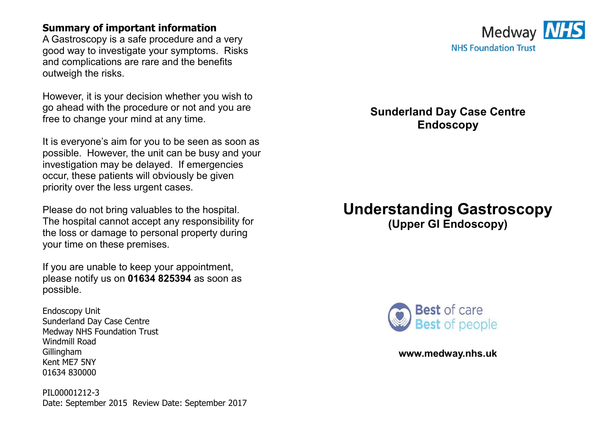### **Summary of important information**

A Gastroscopy is a safe procedure and a very good way to investigate your symptoms. Risks and complications are rare and the benefits outweigh the risks.

However, it is your decision whether you wish to go ahead with the procedure or not and you are free to change your mind at any time.

It is everyone's aim for you to be seen as soon as possible. However, the unit can be busy and your investigation may be delayed. If emergencies occur, these patients will obviously be given priority over the less urgent cases.

Please do not bring valuables to the hospital. The hospital cannot accept any responsibility for the loss or damage to personal property during your time on these premises.

If you are unable to keep your appointment, please notify us on **01634 825394** as soon as possible.

Endoscopy Unit Sunderland Day Case Centre Medway NHS Foundation Trust Windmill Road **Gillingham** Kent ME7 5NY 01634 830000

PIL00001212-3 Date: September 2015 Review Date: September 2017



**Sunderland Day Case Centre Endoscopy** 

# **Understanding Gastroscopy (Upper GI Endoscopy)**



**www.medway.nhs.uk**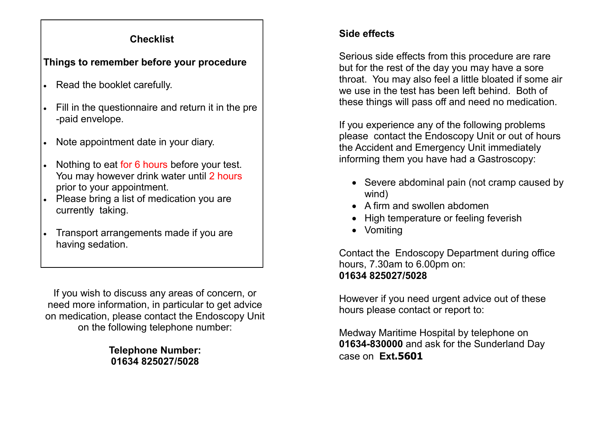### **Checklist**

# **Things to remember before your procedure**

- Read the booklet carefully.
- Fill in the questionnaire and return it in the pre -paid envelope.
- Note appointment date in your diary.
- Nothing to eat for 6 hours before your test. You may however drink water until 2 hours prior to your appointment.
- Please bring a list of medication you are currently taking.
- Transport arrangements made if you are having sedation.

If you wish to discuss any areas of concern, or need more information, in particular to get advice on medication, please contact the Endoscopy Unit on the following telephone number:

> **Telephone Number: 01634 825027/5028**

## **Side effects**

Serious side effects from this procedure are rare but for the rest of the day you may have a sore throat. You may also feel a little bloated if some air we use in the test has been left behind. Both of these things will pass off and need no medication.

If you experience any of the following problems please contact the Endoscopy Unit or out of hours the Accident and Emergency Unit immediately informing them you have had a Gastroscopy:

- Severe abdominal pain (not cramp caused by wind)
- A firm and swollen abdomen
- High temperature or feeling feverish
- Vomiting

Contact the Endoscopy Department during office hours, 7.30am to 6.00pm on: **01634 825027/5028**

However if you need urgent advice out of these hours please contact or report to:

Medway Maritime Hospital by telephone on **01634-830000** and ask for the Sunderland Day case on **Ext.5601**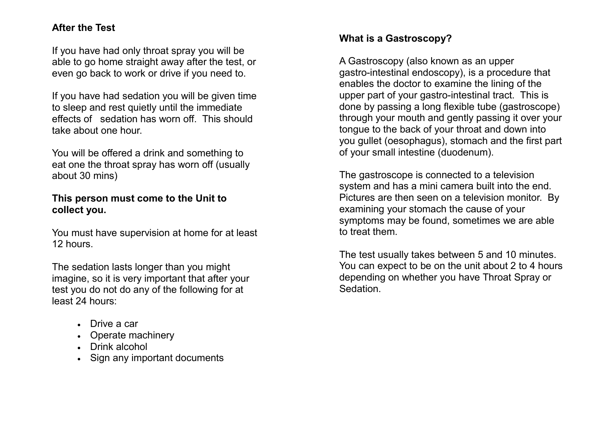#### **After the Test**

If you have had only throat spray you will be able to go home straight away after the test, or even go back to work or drive if you need to.

If you have had sedation you will be given time to sleep and rest quietly until the immediate effects of sedation has worn off. This should take about one hour.

You will be offered a drink and something to eat one the throat spray has worn off (usually about 30 mins)

#### **This person must come to the Unit to collect you.**

You must have supervision at home for at least 12 hours.

The sedation lasts longer than you might imagine, so it is very important that after your test you do not do any of the following for at least 24 hours:

- Drive a car
- Operate machinery
- Drink alcohol
- Sign any important documents

### **What is a Gastroscopy?**

A Gastroscopy (also known as an upper gastro-intestinal endoscopy), is a procedure that enables the doctor to examine the lining of the upper part of your gastro-intestinal tract. This is done by passing a long flexible tube (gastroscope) through your mouth and gently passing it over your tongue to the back of your throat and down into you gullet (oesophagus), stomach and the first part of your small intestine (duodenum).

The gastroscope is connected to a television system and has a mini camera built into the end. Pictures are then seen on a television monitor. By examining your stomach the cause of your symptoms may be found, sometimes we are able to treat them.

The test usually takes between 5 and 10 minutes. You can expect to be on the unit about 2 to 4 hours depending on whether you have Throat Spray or **Sedation**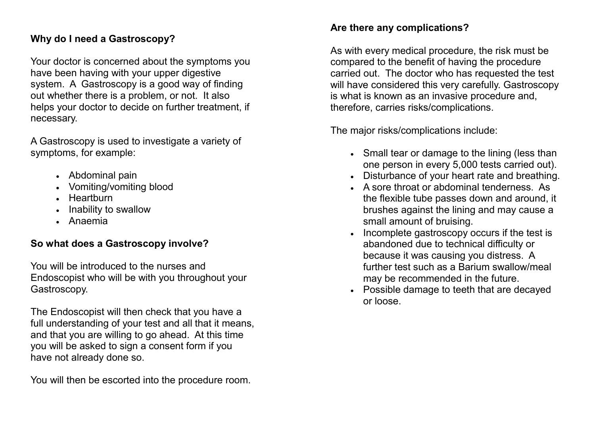### **Why do I need a Gastroscopy?**

Your doctor is concerned about the symptoms you have been having with your upper digestive system. A Gastroscopy is a good way of finding out whether there is a problem, or not. It also helps your doctor to decide on further treatment, if necessary.

A Gastroscopy is used to investigate a variety of symptoms, for example:

- Abdominal pain
- Vomiting/vomiting blood
- Heartburn
- Inability to swallow
- Anaemia

### **So what does a Gastroscopy involve?**

You will be introduced to the nurses and Endoscopist who will be with you throughout your Gastroscopy.

The Endoscopist will then check that you have a full understanding of your test and all that it means, and that you are willing to go ahead. At this time you will be asked to sign a consent form if you have not already done so.

You will then be escorted into the procedure room.

### **Are there any complications?**

As with every medical procedure, the risk must be compared to the benefit of having the procedure carried out. The doctor who has requested the test will have considered this very carefully. Gastroscopy is what is known as an invasive procedure and, therefore, carries risks/complications.

The major risks/complications include:

- Small tear or damage to the lining (less than one person in every 5,000 tests carried out).
- Disturbance of your heart rate and breathing.
- A sore throat or abdominal tenderness. As the flexible tube passes down and around, it brushes against the lining and may cause a small amount of bruising.
- Incomplete gastroscopy occurs if the test is abandoned due to technical difficulty or because it was causing you distress. A further test such as a Barium swallow/meal may be recommended in the future.
- Possible damage to teeth that are decayed or loose.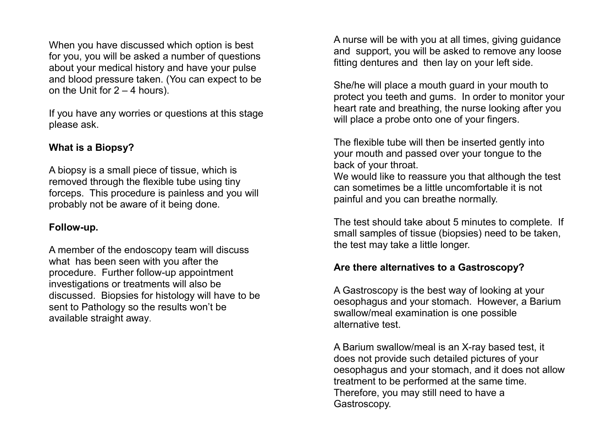When you have discussed which option is best for you, you will be asked a number of questions about your medical history and have your pulse and blood pressure taken. (You can expect to be on the Unit for  $2 - 4$  hours).

If you have any worries or questions at this stage please ask.

### **What is a Biopsy?**

A biopsy is a small piece of tissue, which is removed through the flexible tube using tiny forceps. This procedure is painless and you will probably not be aware of it being done.

#### **Follow-up.**

A member of the endoscopy team will discuss what has been seen with you after the procedure. Further follow-up appointment investigations or treatments will also be discussed. Biopsies for histology will have to be sent to Pathology so the results won't be available straight away.

A nurse will be with you at all times, giving guidance and support, you will be asked to remove any loose fitting dentures and then lay on your left side.

She/he will place a mouth guard in your mouth to protect you teeth and gums. In order to monitor your heart rate and breathing, the nurse looking after you will place a probe onto one of your fingers.

The flexible tube will then be inserted gently into your mouth and passed over your tongue to the back of your throat. We would like to reassure you that although the test

can sometimes be a little uncomfortable it is not painful and you can breathe normally.

The test should take about 5 minutes to complete. If small samples of tissue (biopsies) need to be taken, the test may take a little longer.

# **Are there alternatives to a Gastroscopy?**

A Gastroscopy is the best way of looking at your oesophagus and your stomach. However, a Barium swallow/meal examination is one possible alternative test.

A Barium swallow/meal is an X-ray based test, it does not provide such detailed pictures of your oesophagus and your stomach, and it does not allow treatment to be performed at the same time. Therefore, you may still need to have a Gastroscopy.